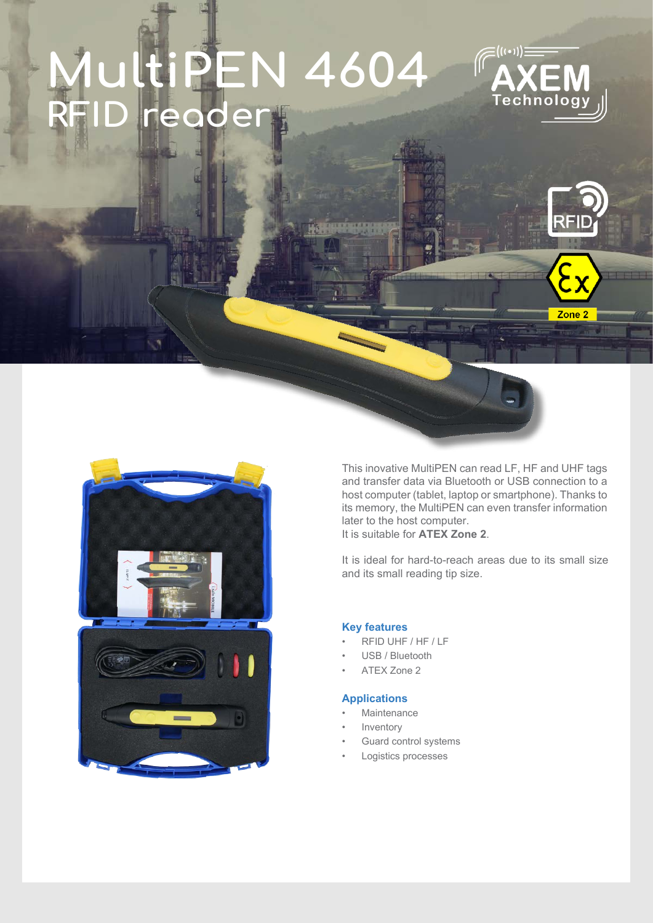# **PEN 4604** reader



Zone<sub>2</sub>



This inovative MultiPEN can read LF, HF and UHF tags and transfer data via Bluetooth or USB connection to a host computer (tablet, laptop or smartphone). Thanks to its memory, the MultiPEN can even transfer information later to the host computer. It is suitable for **ATEX Zone 2**.

It is ideal for hard-to-reach areas due to its small size and its small reading tip size.

#### **Key features**

- RFID UHF / HF / LF
- USB / Bluetooth
- ATEX Zone 2

#### **Applications**

- **Maintenance**
- **Inventory**
- Guard control systems
- Logistics processes